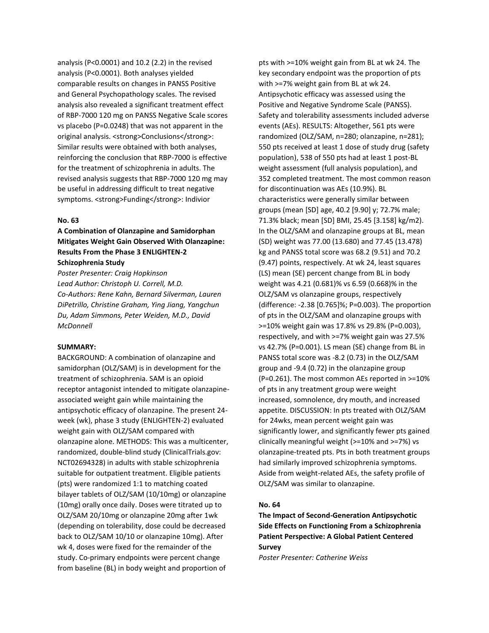analysis (P<0.0001) and 10.2 (2.2) in the revised analysis (P<0.0001). Both analyses yielded comparable results on changes in PANSS Positive and General Psychopathology scales. The revised analysis also revealed a significant treatment effect of RBP-7000 120 mg on PANSS Negative Scale scores vs placebo (P=0.0248) that was not apparent in the original analysis. <strong>Conclusions</strong>: Similar results were obtained with both analyses, reinforcing the conclusion that RBP-7000 is effective for the treatment of schizophrenia in adults. The revised analysis suggests that RBP-7000 120 mg may be useful in addressing difficult to treat negative symptoms. <strong>Funding</strong>: Indivior

#### **No. 63**

# **A Combination of Olanzapine and Samidorphan Mitigates Weight Gain Observed With Olanzapine: Results From the Phase 3 ENLIGHTEN-2 Schizophrenia Study**

*Poster Presenter: Craig Hopkinson Lead Author: Christoph U. Correll, M.D. Co-Authors: Rene Kahn, Bernard Silverman, Lauren DiPetrillo, Christine Graham, Ying Jiang, Yangchun Du, Adam Simmons, Peter Weiden, M.D., David McDonnell*

### **SUMMARY:**

BACKGROUND: A combination of olanzapine and samidorphan (OLZ/SAM) is in development for the treatment of schizophrenia. SAM is an opioid receptor antagonist intended to mitigate olanzapineassociated weight gain while maintaining the antipsychotic efficacy of olanzapine. The present 24 week (wk), phase 3 study (ENLIGHTEN-2) evaluated weight gain with OLZ/SAM compared with olanzapine alone. METHODS: This was a multicenter, randomized, double-blind study (ClinicalTrials.gov: NCT02694328) in adults with stable schizophrenia suitable for outpatient treatment. Eligible patients (pts) were randomized 1:1 to matching coated bilayer tablets of OLZ/SAM (10/10mg) or olanzapine (10mg) orally once daily. Doses were titrated up to OLZ/SAM 20/10mg or olanzapine 20mg after 1wk (depending on tolerability, dose could be decreased back to OLZ/SAM 10/10 or olanzapine 10mg). After wk 4, doses were fixed for the remainder of the study. Co-primary endpoints were percent change from baseline (BL) in body weight and proportion of

pts with >=10% weight gain from BL at wk 24. The key secondary endpoint was the proportion of pts with >=7% weight gain from BL at wk 24. Antipsychotic efficacy was assessed using the Positive and Negative Syndrome Scale (PANSS). Safety and tolerability assessments included adverse events (AEs). RESULTS: Altogether, 561 pts were randomized (OLZ/SAM, n=280; olanzapine, n=281); 550 pts received at least 1 dose of study drug (safety population), 538 of 550 pts had at least 1 post-BL weight assessment (full analysis population), and 352 completed treatment. The most common reason for discontinuation was AEs (10.9%). BL characteristics were generally similar between groups (mean [SD] age, 40.2 [9.90] y; 72.7% male; 71.3% black; mean [SD] BMI, 25.45 [3.158] kg/m2). In the OLZ/SAM and olanzapine groups at BL, mean (SD) weight was 77.00 (13.680) and 77.45 (13.478) kg and PANSS total score was 68.2 (9.51) and 70.2 (9.47) points, respectively. At wk 24, least squares (LS) mean (SE) percent change from BL in body weight was 4.21 (0.681)% vs 6.59 (0.668)% in the OLZ/SAM vs olanzapine groups, respectively (difference: -2.38 [0.765]%; P=0.003). The proportion of pts in the OLZ/SAM and olanzapine groups with >=10% weight gain was 17.8% vs 29.8% (P=0.003), respectively, and with >=7% weight gain was 27.5% vs 42.7% (P=0.001). LS mean (SE) change from BL in PANSS total score was -8.2 (0.73) in the OLZ/SAM group and -9.4 (0.72) in the olanzapine group (P=0.261). The most common AEs reported in >=10% of pts in any treatment group were weight increased, somnolence, dry mouth, and increased appetite. DISCUSSION: In pts treated with OLZ/SAM for 24wks, mean percent weight gain was significantly lower, and significantly fewer pts gained clinically meaningful weight (>=10% and >=7%) vs olanzapine-treated pts. Pts in both treatment groups had similarly improved schizophrenia symptoms. Aside from weight-related AEs, the safety profile of OLZ/SAM was similar to olanzapine.

### **No. 64**

**The Impact of Second-Generation Antipsychotic Side Effects on Functioning From a Schizophrenia Patient Perspective: A Global Patient Centered Survey**

*Poster Presenter: Catherine Weiss*